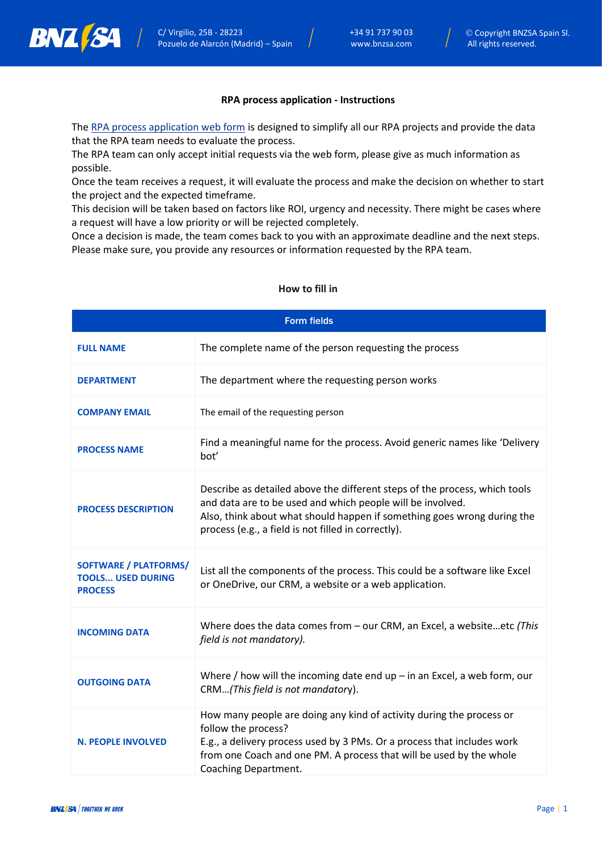

## **RPA process application - Instructions**

The [RPA process application web form](https://bnzsa.com/rpa-process-application/) is designed to simplify all our RPA projects and provide the data that the RPA team needs to evaluate the process.

The RPA team can only accept initial requests via the web form, please give as much information as possible.

Once the team receives a request, it will evaluate the process and make the decision on whether to start the project and the expected timeframe.

This decision will be taken based on factors like ROI, urgency and necessity. There might be cases where a request will have a low priority or will be rejected completely.

Once a decision is made, the team comes back to you with an approximate deadline and the next steps. Please make sure, you provide any resources or information requested by the RPA team.

| <b>Form fields</b>                                                         |                                                                                                                                                                                                                                                                            |  |
|----------------------------------------------------------------------------|----------------------------------------------------------------------------------------------------------------------------------------------------------------------------------------------------------------------------------------------------------------------------|--|
| <b>FULL NAME</b>                                                           | The complete name of the person requesting the process                                                                                                                                                                                                                     |  |
| <b>DEPARTMENT</b>                                                          | The department where the requesting person works                                                                                                                                                                                                                           |  |
| <b>COMPANY EMAIL</b>                                                       | The email of the requesting person                                                                                                                                                                                                                                         |  |
| <b>PROCESS NAME</b>                                                        | Find a meaningful name for the process. Avoid generic names like 'Delivery<br>bot'                                                                                                                                                                                         |  |
| <b>PROCESS DESCRIPTION</b>                                                 | Describe as detailed above the different steps of the process, which tools<br>and data are to be used and which people will be involved.<br>Also, think about what should happen if something goes wrong during the<br>process (e.g., a field is not filled in correctly). |  |
| <b>SOFTWARE / PLATFORMS/</b><br><b>TOOLS USED DURING</b><br><b>PROCESS</b> | List all the components of the process. This could be a software like Excel<br>or OneDrive, our CRM, a website or a web application.                                                                                                                                       |  |
| <b>INCOMING DATA</b>                                                       | Where does the data comes from $-$ our CRM, an Excel, a websiteetc (This<br>field is not mandatory).                                                                                                                                                                       |  |
| <b>OUTGOING DATA</b>                                                       | Where $/$ how will the incoming date end up $-$ in an Excel, a web form, our<br>CRM(This field is not mandatory).                                                                                                                                                          |  |
| <b>N. PEOPLE INVOLVED</b>                                                  | How many people are doing any kind of activity during the process or<br>follow the process?<br>E.g., a delivery process used by 3 PMs. Or a process that includes work<br>from one Coach and one PM. A process that will be used by the whole<br>Coaching Department.      |  |

## **How to fill in**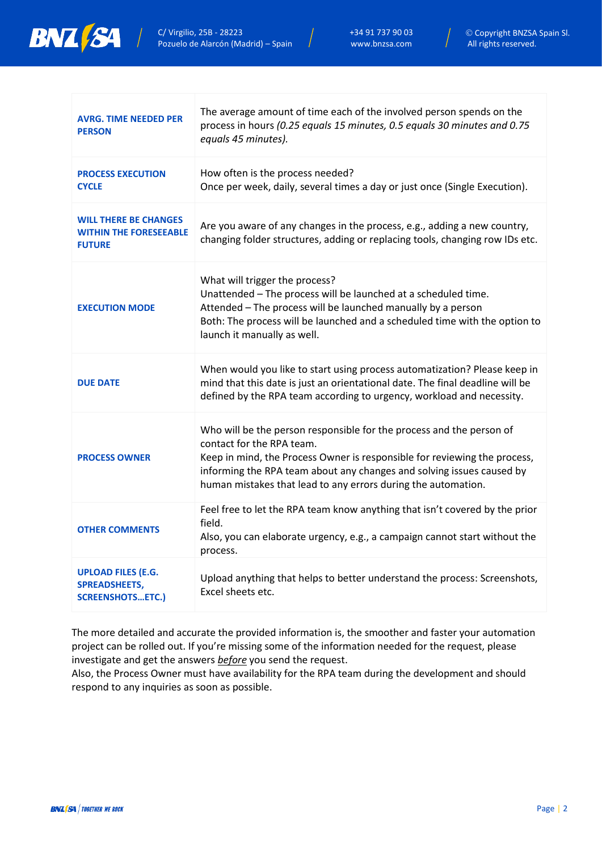

| <b>AVRG. TIME NEEDED PER</b><br><b>PERSON</b>                                  | The average amount of time each of the involved person spends on the<br>process in hours (0.25 equals 15 minutes, 0.5 equals 30 minutes and 0.75<br>equals 45 minutes).                                                                                                                                                  |
|--------------------------------------------------------------------------------|--------------------------------------------------------------------------------------------------------------------------------------------------------------------------------------------------------------------------------------------------------------------------------------------------------------------------|
| <b>PROCESS EXECUTION</b><br><b>CYCLE</b>                                       | How often is the process needed?<br>Once per week, daily, several times a day or just once (Single Execution).                                                                                                                                                                                                           |
| <b>WILL THERE BE CHANGES</b><br><b>WITHIN THE FORESEEABLE</b><br><b>FUTURE</b> | Are you aware of any changes in the process, e.g., adding a new country,<br>changing folder structures, adding or replacing tools, changing row IDs etc.                                                                                                                                                                 |
| <b>EXECUTION MODE</b>                                                          | What will trigger the process?<br>Unattended - The process will be launched at a scheduled time.<br>Attended - The process will be launched manually by a person<br>Both: The process will be launched and a scheduled time with the option to<br>launch it manually as well.                                            |
| <b>DUE DATE</b>                                                                | When would you like to start using process automatization? Please keep in<br>mind that this date is just an orientational date. The final deadline will be<br>defined by the RPA team according to urgency, workload and necessity.                                                                                      |
| <b>PROCESS OWNER</b>                                                           | Who will be the person responsible for the process and the person of<br>contact for the RPA team.<br>Keep in mind, the Process Owner is responsible for reviewing the process,<br>informing the RPA team about any changes and solving issues caused by<br>human mistakes that lead to any errors during the automation. |
| <b>OTHER COMMENTS</b>                                                          | Feel free to let the RPA team know anything that isn't covered by the prior<br>field.<br>Also, you can elaborate urgency, e.g., a campaign cannot start without the<br>process.                                                                                                                                          |
| <b>UPLOAD FILES (E.G.</b><br><b>SPREADSHEETS,</b><br><b>SCREENSHOTSETC.)</b>   | Upload anything that helps to better understand the process: Screenshots,<br>Excel sheets etc.                                                                                                                                                                                                                           |

The more detailed and accurate the provided information is, the smoother and faster your automation project can be rolled out. If you're missing some of the information needed for the request, please investigate and get the answers *before* you send the request.

Also, the Process Owner must have availability for the RPA team during the development and should respond to any inquiries as soon as possible.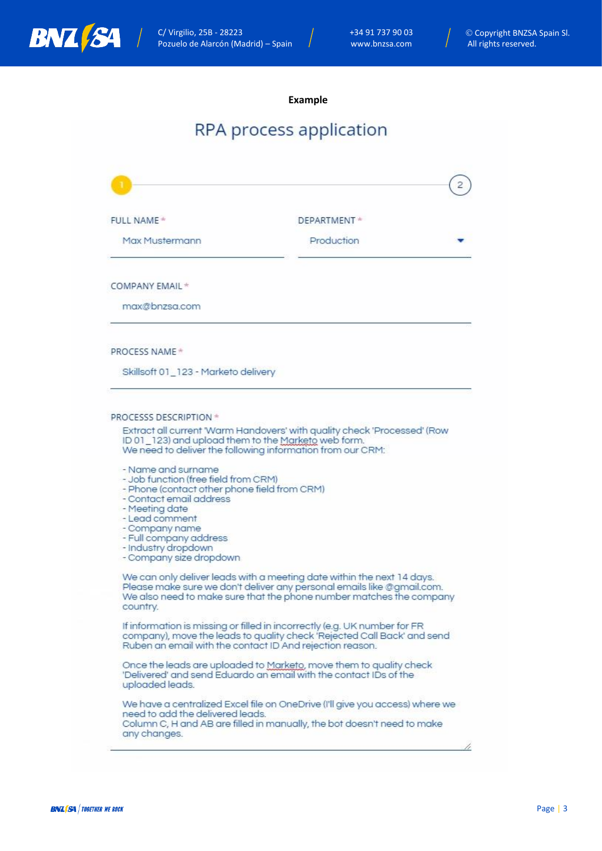

**Example**